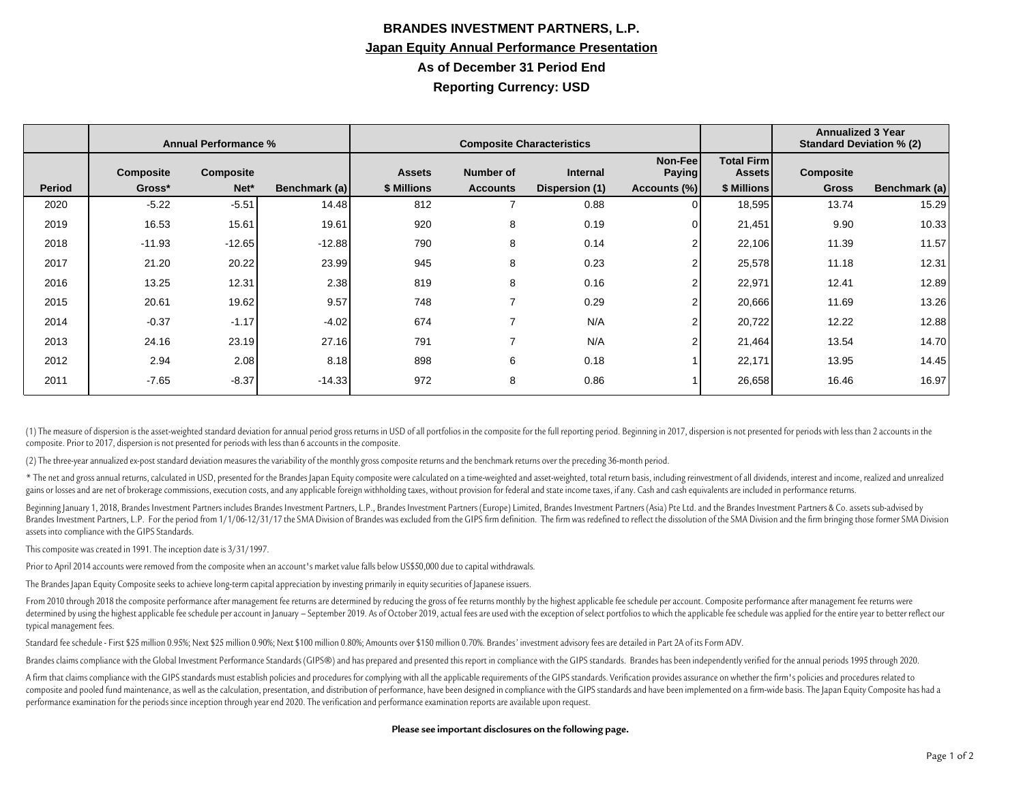## **BRANDES INVESTMENT PARTNERS, L.P. Japan Equity Annual Performance Presentation As of December 31 Period End Reporting Currency: USD**

|               | <b>Annual Performance %</b> |           |               | <b>Composite Characteristics</b> |                 |                 |                          |                                    | <b>Annualized 3 Year</b><br><b>Standard Deviation % (2)</b> |               |
|---------------|-----------------------------|-----------|---------------|----------------------------------|-----------------|-----------------|--------------------------|------------------------------------|-------------------------------------------------------------|---------------|
|               | <b>Composite</b>            | Composite |               | <b>Assets</b>                    | Number of       | <b>Internal</b> | Non-Fee<br><b>Paying</b> | <b>Total Firm</b><br><b>Assets</b> | <b>Composite</b>                                            |               |
| <b>Period</b> | Gross*                      | Net*      | Benchmark (a) | \$ Millions                      | <b>Accounts</b> | Dispersion (1)  | Accounts (%)             | \$ Millions                        | <b>Gross</b>                                                | Benchmark (a) |
| 2020          | $-5.22$                     | $-5.51$   | 14.48         | 812                              |                 | 0.88            | $\Omega$                 | 18,595                             | 13.74                                                       | 15.29         |
| 2019          | 16.53                       | 15.61     | 19.61         | 920                              | 8               | 0.19            | $\overline{0}$           | 21,451                             | 9.90                                                        | 10.33         |
| 2018          | $-11.93$                    | $-12.65$  | $-12.88$      | 790                              | 8               | 0.14            | $\overline{2}$           | 22,106                             | 11.39                                                       | 11.57         |
| 2017          | 21.20                       | 20.22     | 23.99         | 945                              | 8               | 0.23            | $\overline{2}$           | 25,578                             | 11.18                                                       | 12.31         |
| 2016          | 13.25                       | 12.31     | 2.38          | 819                              | 8               | 0.16            | 2                        | 22,971                             | 12.41                                                       | 12.89         |
| 2015          | 20.61                       | 19.62     | 9.57          | 748                              | ⇁               | 0.29            | $\overline{2}$           | 20,666                             | 11.69                                                       | 13.26         |
| 2014          | $-0.37$                     | $-1.17$   | $-4.02$       | 674                              | 7               | N/A             | 2                        | 20,722                             | 12.22                                                       | 12.88         |
| 2013          | 24.16                       | 23.19     | 27.16         | 791                              | -               | N/A             | $\overline{2}$           | 21,464                             | 13.54                                                       | 14.70         |
| 2012          | 2.94                        | 2.08      | 8.18          | 898                              | 6               | 0.18            |                          | 22,171                             | 13.95                                                       | 14.45         |
| 2011          | $-7.65$                     | $-8.37$   | $-14.33$      | 972                              | 8               | 0.86            |                          | 26,658                             | 16.46                                                       | 16.97         |

(1) The measure of dispersion is the asset-weighted standard deviation for annual period gross returns in USD of all portfolios in the composite for the full reporting period. Beginning in 2017, dispersion is not presented composite. Prior to 2017, dispersion is not presented for periods with less than 6 accounts in the composite.

(2) The three-year annualized ex-post standard deviation measures the variability of the monthly gross composite returns and the benchmark returns over the preceding 36-month period.

\* The net and gross annual returns, calculated in USD, presented for the Brandes Japan Equity composite were calculated on a time-weighted and asset-weighted, total return basis, including reinvestment of all dividends, in gains or losses and are net of brokerage commissions, execution costs, and any applicable foreign withholding taxes, without provision for federal and state income taxes, if any. Cash and cash equivalents are included in p

Beginning January 1, 2018, Brandes Investment Partners includes Brandes Investment Partners, L.P., Brandes Investment Partners (Europe) Limited, Brandes Investment Partners (Asia) Pte Ltd. and the Brandes Investment Partne Brandes Investment Partners, L.P. For the period from 1/1/06-12/31/17 the SMA Division of Brandes was excluded from the GIPS firm definition. The firm was redefined to reflect the dissolution of the SMA Division and the fi assets into compliance with the GIPS Standards.

This composite was created in 1991. The inception date is 3/31/1997.

Prior to April 2014 accounts were removed from the composite when an account's market value falls below US\$50,000 due to capital withdrawals.

The Brandes Japan Equity Composite seeks to achieve long-term capital appreciation by investing primarily in equity securities of Japanese issuers.

From 2010 through 2018 the composite performance after management fee returns are determined by reducing the gross of fee returns monthly by the highest applicable fee schedule per account. Composite performance after mana determined by using the highest applicable fee schedule per account in January - September 2019. As of October 2019, actual fees are used with the exception of select portfolios to which the applicable fee schedule was app typical management fees.

Standard fee schedule - First \$25 million 0.95%; Next \$25 million 0.90%; Next \$100 million 0.80%; Amounts over \$150 million 0.70%. Brandes' investment advisory fees are detailed in Part 2A of its Form ADV.

Brandes claims compliance with the Global Investment Performance Standards (GIPS®) and has prepared and presented this report in compliance with the GIPS standards. Brandes has been independently verified for the annual pe

A firm that claims compliance with the GIPS standards must establish policies and procedures for complying with all the applicable requirements of the GIPS standards. Verification provides assurance on whether the firm's p composite and pooled fund maintenance, as well as the calculation, presentation, and distribution of performance, have been designed in compliance with the GIPS standards and have been implemented on a firm-wide basis. The performance examination for the periods since inception through year end 2020. The verification and performance examination reports are available upon request.

## **Please see important disclosures on the following page.**